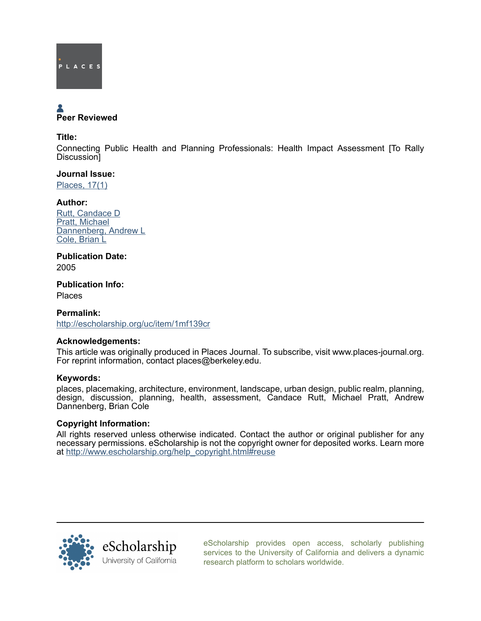

# Peer Reviewed

#### Title:

Connecting Public Health and Planning Professionals: Health Impact Assessment [To Rally Discussion]

#### Journal Issue:

[Places, 17\(1\)](http://escholarship.org/uc/ced_places?volume=17;issue=1)

# Author:

[Rutt, Candace D](http://escholarship.org/uc/search?creator=Rutt%2C%20Candace%20D) [Pratt, Michael](http://escholarship.org/uc/search?creator=Pratt%2C%20Michael) [Dannenberg, Andrew L](http://escholarship.org/uc/search?creator=Dannenberg%2C%20Andrew%20L) [Cole, Brian L](http://escholarship.org/uc/search?creator=Cole%2C%20Brian%20L)

#### Publication Date: 2005

# Publication Info:

Places

# Permalink: <http://escholarship.org/uc/item/1mf139cr>

#### Acknowledgements:

This article was originally produced in Places Journal. To subscribe, visit www.places-journal.org. For reprint information, contact places@berkeley.edu.

#### Keywords:

places, placemaking, architecture, environment, landscape, urban design, public realm, planning, design, discussion, planning, health, assessment, Candace Rutt, Michael Pratt, Andrew Dannenberg, Brian Cole

# Copyright Information:

All rights reserved unless otherwise indicated. Contact the author or original publisher for any necessary permissions. eScholarship is not the copyright owner for deposited works. Learn more at [http://www.escholarship.org/help\\_copyright.html#reuse](http://www.escholarship.org/help_copyright.html#reuse)



[eScholarship provides open access, scholarly publishing](http://escholarship.org) [services to the University of California and delivers a dynamic](http://escholarship.org) [research platform to scholars worldwide.](http://escholarship.org)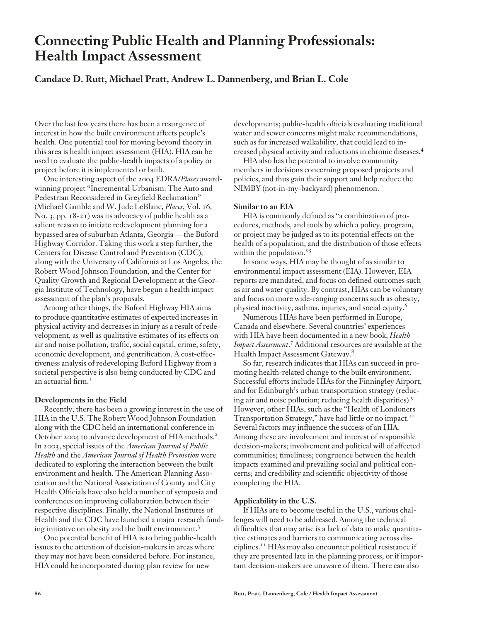# **Connecting Public Health and Planning Professionals: Health Impact Assessment**

# **Candace D. Rutt, Michael Pratt, Andrew L. Dannenberg, and Brian L. Cole**

Over the last few years there has been a resurgence of interest in how the built environment affects people's health. One potential tool for moving beyond theory in this area is health impact assessment (HIA). HIA can be used to evaluate the public-health impacts of a policy or project before it is implemented or built.

One interesting aspect of the 2004 EDRA/*Places* awardwinning project "Incremental Urbanism: The Auto and Pedestrian Reconsidered in Greyfield Reclamation" (Michael Gamble and W. Jude LeBlanc, *Places*, Vol. 16, No. 3, pp. 18-21) was its advocacy of public health as a salient reason to initiate redevelopment planning for a bypassed area of suburban Atlanta, Georgia — the Buford Highway Corridor. Taking this work a step further, the Centers for Disease Control and Prevention (CDC), along with the University of California at Los Angeles, the Robert Wood Johnson Foundation, and the Center for Quality Growth and Regional Development at the Georgia Institute of Technology, have begun a health impact assessment of the plan's proposals.

Among other things, the Buford Highway HIA aims to produce quantitative estimates of expected increases in physical activity and decreases in injury as a result of redevelopment, as well as qualitative estimates of its effects on air and noise pollution, traffic, social capital, crime, safety, economic development, and gentrification. A cost-effectiveness analysis of redeveloping Buford Highway from a societal perspective is also being conducted by CDC and an actuarial firm.<sup>1</sup>

#### **Developments in the Field**

Recently, there has been a growing interest in the use of HIA in the U.S. The Robert Wood Johnson Foundation along with the CDC held an international conference in October 2004 to advance development of HIA methods.<sup>2</sup> In 2003, special issues of the *American Journal of Public Health* and the *American Journal of Health Promotion* were dedicated to exploring the interaction between the built environment and health. The American Planning Association and the National Association of County and City Health Officials have also held a number of symposia and conferences on improving collaboration between their respective disciplines. Finally, the National Institutes of Health and the CDC have launched a major research funding initiative on obesity and the built environment.3

One potential benefit of HIA is to bring public-health issues to the attention of decision-makers in areas where they may not have been considered before. For instance, HIA could be incorporated during plan review for new

developments; public-health officials evaluating traditional water and sewer concerns might make recommendations, such as for increased walkability, that could lead to increased physical activity and reductions in chronic diseases.4

HIA also has the potential to involve community members in decisions concerning proposed projects and policies, and thus gain their support and help reduce the NIMBY (not-in-my-backyard) phenomenon.

#### **Similar to an EIA**

HIA is commonly defined as "a combination of procedures, methods, and tools by which a policy, program, or project may be judged as to its potential effects on the health of a population, and the distribution of those effects within the population."<sup>5</sup>

In some ways, HIA may be thought of as similar to environmental impact assessment (EIA). However, EIA reports are mandated, and focus on defined outcomes such as air and water quality. By contrast, HIAs can be voluntary and focus on more wide-ranging concerns such as obesity, physical inactivity, asthma, injuries, and social equity.6

Numerous HIAs have been performed in Europe, Canada and elsewhere. Several countries' experiences with HIA have been documented in a new book, *Health*  Impact Assessment.<sup>7</sup> Additional resources are available at the Health Impact Assessment Gateway.<sup>8</sup>

So far, research indicates that HIAs can succeed in promoting health-related change to the built environment. Successful efforts include HIAs for the Finningley Airport, and for Edinburgh's urban transportation strategy (reducing air and noise pollution; reducing health disparities).9 However, other HIAs, such as the "Health of Londoners Transportation Strategy," have had little or no impact.<sup>10</sup> Several factors may influence the success of an HIA. Among these are involvement and interest of responsible decision-makers; involvement and political will of affected communities; timeliness; congruence between the health impacts examined and prevailing social and political concerns; and credibility and scientific objectivity of those completing the HIA.

#### **Applicability in the U.S.**

If HIAs are to become useful in the U.S., various challenges will need to be addressed. Among the technical difficulties that may arise is a lack of data to make quantitative estimates and barriers to communicating across disciplines.11 HIAs may also encounter political resistance if they are presented late in the planning process, or if important decision-makers are unaware of them. There can also